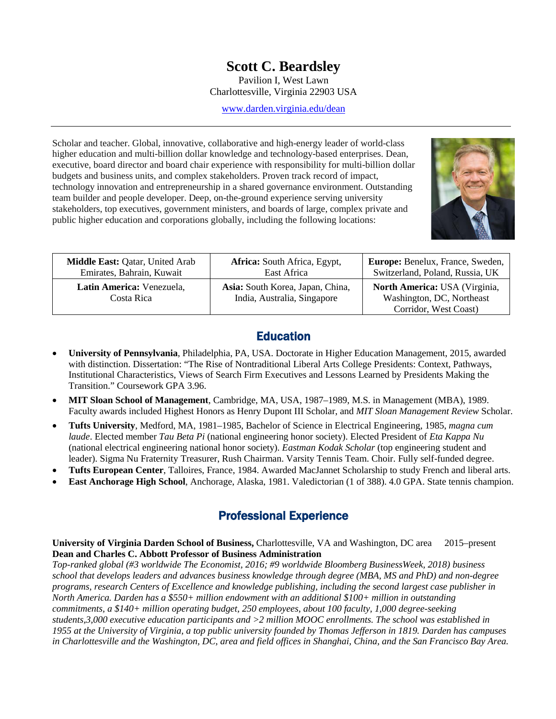# **Scott C. Beardsley**

Pavilion I, West Lawn Charlottesville, Virginia 22903 USA

[www.darden.virginia.edu/dean](http://www.darden.virginia.edu/dean)

Scholar and teacher. Global, innovative, collaborative and high-energy leader of world-class higher education and multi-billion dollar knowledge and technology-based enterprises. Dean, executive, board director and board chair experience with responsibility for multi-billion dollar budgets and business units, and complex stakeholders. Proven track record of impact, technology innovation and entrepreneurship in a shared governance environment. Outstanding team builder and people developer. Deep, on-the-ground experience serving university stakeholders, top executives, government ministers, and boards of large, complex private and public higher education and corporations globally, including the following locations:



| Middle East: Qatar, United Arab         | <b>Africa:</b> South Africa, Egypt,                             | Europe: Benelux, France, Sweden,                                                    |
|-----------------------------------------|-----------------------------------------------------------------|-------------------------------------------------------------------------------------|
| Emirates, Bahrain, Kuwait               | East Africa                                                     | Switzerland, Poland, Russia, UK                                                     |
| Latin America: Venezuela,<br>Costa Rica | Asia: South Korea, Japan, China,<br>India, Australia, Singapore | North America: USA (Virginia,<br>Washington, DC, Northeast<br>Corridor, West Coast) |

## **Education**

- **University of Pennsylvania**, Philadelphia, PA, USA. Doctorate in Higher Education Management, 2015, awarded with distinction. Dissertation: "The Rise of Nontraditional Liberal Arts College Presidents: Context, Pathways, Institutional Characteristics, Views of Search Firm Executives and Lessons Learned by Presidents Making the Transition." Coursework GPA 3.96.
- **MIT Sloan School of Management**, Cambridge, MA, USA, 1987–1989, M.S. in Management (MBA), 1989. Faculty awards included Highest Honors as Henry Dupont III Scholar, and *MIT Sloan Management Review* Scholar.
- **Tufts University**, Medford, MA, 1981–1985, Bachelor of Science in Electrical Engineering, 1985, *magna cum laude*. Elected member *Tau Beta Pi* (national engineering honor society). Elected President of *Eta Kappa Nu* (national electrical engineering national honor society). *Eastman Kodak Scholar* (top engineering student and leader). Sigma Nu Fraternity Treasurer, Rush Chairman. Varsity Tennis Team. Choir. Fully self-funded degree.
- **Tufts European Center**, Talloires, France, 1984. Awarded MacJannet Scholarship to study French and liberal arts.
- **East Anchorage High School**, Anchorage, Alaska, 1981. Valedictorian (1 of 388). 4.0 GPA. State tennis champion.

## Professional Experience

**University of Virginia Darden School of Business,** Charlottesville, VA and Washington, DC area 2015–present **Dean and Charles C. Abbott Professor of Business Administration**

*Top-ranked global (#3 worldwide The Economist, 2016; #9 worldwide Bloomberg BusinessWeek, 2018) business school that develops leaders and advances business knowledge through degree (MBA, MS and PhD) and non-degree programs, research Centers of Excellence and knowledge publishing, including the second largest case publisher in North America. Darden has a \$550+ million endowment with an additional \$100+ million in outstanding commitments, a \$140+ million operating budget, 250 employees, about 100 faculty, 1,000 degree-seeking students,3,000 executive education participants and >2 million MOOC enrollments. The school was established in 1955 at the University of Virginia, a top public university founded by Thomas Jefferson in 1819. Darden has campuses in Charlottesville and the Washington, DC, area and field offices in Shanghai, China, and the San Francisco Bay Area.*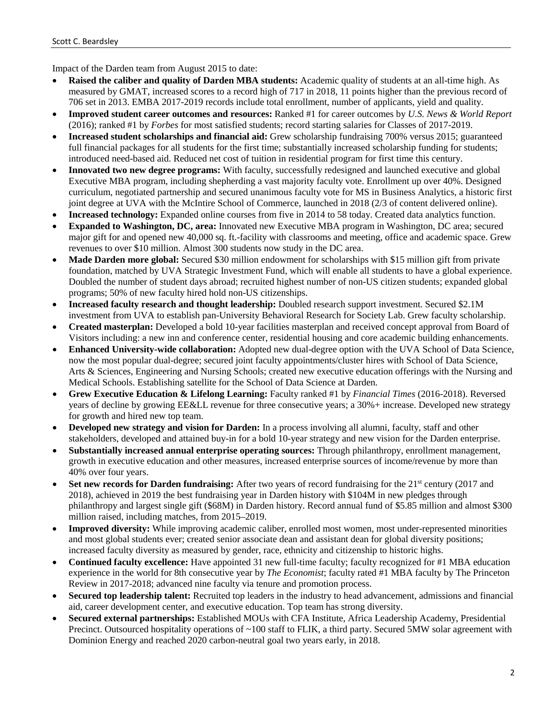Impact of the Darden team from August 2015 to date:

- **Raised the caliber and quality of Darden MBA students:** Academic quality of students at an all-time high. As measured by GMAT, increased scores to a record high of 717 in 2018, 11 points higher than the previous record of 706 set in 2013. EMBA 2017-2019 records include total enrollment, number of applicants, yield and quality.
- **Improved student career outcomes and resources:** Ranked #1 for career outcomes by *U.S. News & World Report* (2016); ranked #1 by *Forbes* for most satisfied students; record starting salaries for Classes of 2017-2019.
- **Increased student scholarships and financial aid:** Grew scholarship fundraising 700% versus 2015; guaranteed full financial packages for all students for the first time; substantially increased scholarship funding for students; introduced need-based aid. Reduced net cost of tuition in residential program for first time this century.
- **Innovated two new degree programs:** With faculty, successfully redesigned and launched executive and global Executive MBA program, including shepherding a vast majority faculty vote. Enrollment up over 40%. Designed curriculum, negotiated partnership and secured unanimous faculty vote for MS in Business Analytics, a historic first joint degree at UVA with the McIntire School of Commerce, launched in 2018 (2/3 of content delivered online).
- **Increased technology:** Expanded online courses from five in 2014 to 58 today. Created data analytics function.
- **Expanded to Washington, DC, area:** Innovated new Executive MBA program in Washington, DC area; secured major gift for and opened new 40,000 sq. ft.-facility with classrooms and meeting, office and academic space. Grew revenues to over \$10 million. Almost 300 students now study in the DC area.
- **Made Darden more global:** Secured \$30 million endowment for scholarships with \$15 million gift from private foundation, matched by UVA Strategic Investment Fund, which will enable all students to have a global experience. Doubled the number of student days abroad; recruited highest number of non-US citizen students; expanded global programs; 50% of new faculty hired hold non-US citizenships.
- **Increased faculty research and thought leadership:** Doubled research support investment. Secured \$2.1M investment from UVA to establish pan-University Behavioral Research for Society Lab. Grew faculty scholarship.
- **Created masterplan:** Developed a bold 10-year facilities masterplan and received concept approval from Board of Visitors including: a new inn and conference center, residential housing and core academic building enhancements.
- **Enhanced University-wide collaboration:** Adopted new dual-degree option with the UVA School of Data Science, now the most popular dual-degree; secured joint faculty appointments/cluster hires with School of Data Science, Arts & Sciences, Engineering and Nursing Schools; created new executive education offerings with the Nursing and Medical Schools. Establishing satellite for the School of Data Science at Darden.
- **Grew Executive Education & Lifelong Learning:** Faculty ranked #1 by *Financial Times* (2016-2018). Reversed years of decline by growing EE&LL revenue for three consecutive years; a 30%+ increase. Developed new strategy for growth and hired new top team.
- **Developed new strategy and vision for Darden:** In a process involving all alumni, faculty, staff and other stakeholders, developed and attained buy-in for a bold 10-year strategy and new vision for the Darden enterprise.
- **Substantially increased annual enterprise operating sources:** Through philanthropy, enrollment management, growth in executive education and other measures, increased enterprise sources of income/revenue by more than 40% over four years.
- **Set new records for Darden fundraising:** After two years of record fundraising for the 21<sup>st</sup> century (2017 and 2018), achieved in 2019 the best fundraising year in Darden history with \$104M in new pledges through philanthropy and largest single gift (\$68M) in Darden history. Record annual fund of \$5.85 million and almost \$300 million raised, including matches, from 2015–2019.
- **Improved diversity:** While improving academic caliber, enrolled most women, most under-represented minorities and most global students ever; created senior associate dean and assistant dean for global diversity positions; increased faculty diversity as measured by gender, race, ethnicity and citizenship to historic highs.
- **Continued faculty excellence:** Have appointed 31 new full-time faculty; faculty recognized for #1 MBA education experience in the world for 8th consecutive year by *The Economist*; faculty rated #1 MBA faculty by The Princeton Review in 2017-2018; advanced nine faculty via tenure and promotion process.
- **Secured top leadership talent:** Recruited top leaders in the industry to head advancement, admissions and financial aid, career development center, and executive education. Top team has strong diversity.
- **Secured external partnerships:** Established MOUs with CFA Institute, Africa Leadership Academy, Presidential Precinct. Outsourced hospitality operations of ~100 staff to FLIK, a third party. Secured 5MW solar agreement with Dominion Energy and reached 2020 carbon-neutral goal two years early, in 2018.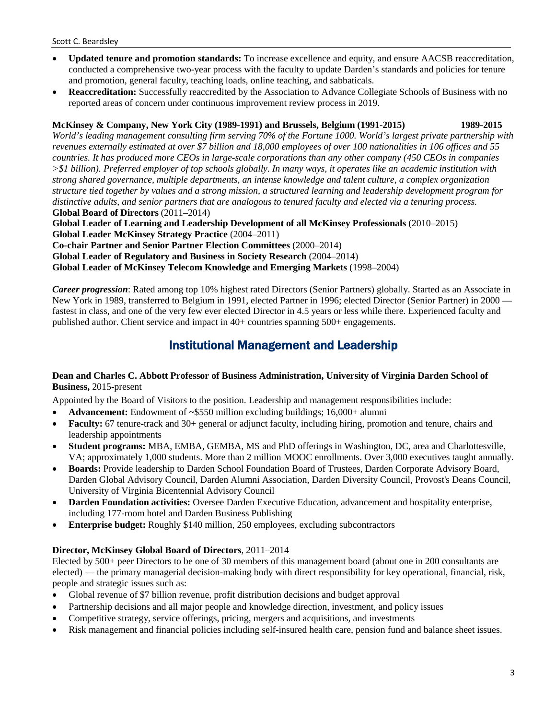- **Updated tenure and promotion standards:** To increase excellence and equity, and ensure AACSB reaccreditation, conducted a comprehensive two-year process with the faculty to update Darden's standards and policies for tenure and promotion, general faculty, teaching loads, online teaching, and sabbaticals.
- **Reaccreditation:** Successfully reaccredited by the Association to Advance Collegiate Schools of Business with no reported areas of concern under continuous improvement review process in 2019.

### **McKinsey & Company, New York City (1989-1991) and Brussels, Belgium (1991-2015) 1989-2015**

*World's leading management consulting firm serving 70% of the Fortune 1000. World's largest private partnership with revenues externally estimated at over \$7 billion and 18,000 employees of over 100 nationalities in 106 offices and 55 countries. It has produced more CEOs in large-scale corporations than any other company (450 CEOs in companies >\$1 billion). Preferred employer of top schools globally. In many ways, it operates like an academic institution with strong shared governance, multiple departments, an intense knowledge and talent culture, a complex organization structure tied together by values and a strong mission, a structured learning and leadership development program for distinctive adults, and senior partners that are analogous to tenured faculty and elected via a tenuring process.*  **Global Board of Directors** (2011–2014)

**Global Leader of Learning and Leadership Development of all McKinsey Professionals** (2010–2015)

**Global Leader McKinsey Strategy Practice** (2004–2011)

**Co-chair Partner and Senior Partner Election Committees** (2000–2014)

**Global Leader of Regulatory and Business in Society Research** (2004–2014)

**Global Leader of McKinsey Telecom Knowledge and Emerging Markets** (1998–2004)

*Career progression*: Rated among top 10% highest rated Directors (Senior Partners) globally. Started as an Associate in New York in 1989, transferred to Belgium in 1991, elected Partner in 1996; elected Director (Senior Partner) in 2000 fastest in class, and one of the very few ever elected Director in 4.5 years or less while there. Experienced faculty and published author. Client service and impact in 40+ countries spanning 500+ engagements.

## Institutional Management and Leadership

### **Dean and Charles C. Abbott Professor of Business Administration, University of Virginia Darden School of Business,** 2015-present

Appointed by the Board of Visitors to the position. Leadership and management responsibilities include:

- **Advancement:** Endowment of ~\$550 million excluding buildings; 16,000+ alumni
- **Faculty:** 67 tenure-track and 30+ general or adjunct faculty, including hiring, promotion and tenure, chairs and leadership appointments
- **Student programs:** MBA, EMBA, GEMBA, MS and PhD offerings in Washington, DC, area and Charlottesville, VA; approximately 1,000 students. More than 2 million MOOC enrollments. Over 3,000 executives taught annually.
- **Boards:** Provide leadership to Darden School Foundation Board of Trustees, Darden Corporate Advisory Board, Darden Global Advisory Council, Darden Alumni Association, Darden Diversity Council, Provost's Deans Council, University of Virginia Bicentennial Advisory Council
- **Darden Foundation activities:** Oversee Darden Executive Education, advancement and hospitality enterprise, including 177-room hotel and Darden Business Publishing
- **Enterprise budget:** Roughly \$140 million, 250 employees, excluding subcontractors

### **Director, McKinsey Global Board of Directors**, 2011–2014

Elected by 500+ peer Directors to be one of 30 members of this management board (about one in 200 consultants are elected) — the primary managerial decision-making body with direct responsibility for key operational, financial, risk, people and strategic issues such as:

- Global revenue of \$7 billion revenue, profit distribution decisions and budget approval
- Partnership decisions and all major people and knowledge direction, investment, and policy issues
- Competitive strategy, service offerings, pricing, mergers and acquisitions, and investments
- Risk management and financial policies including self-insured health care, pension fund and balance sheet issues.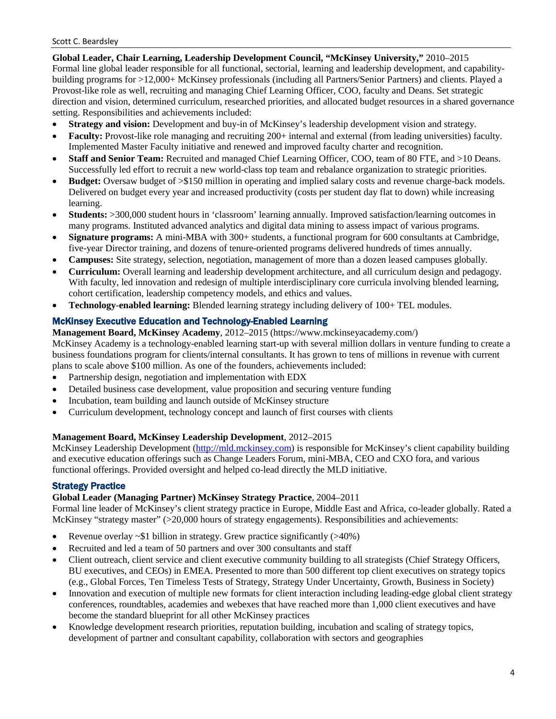**Global Leader, Chair Learning, Leadership Development Council, "McKinsey University,"** 2010–2015 Formal line global leader responsible for all functional, sectorial, learning and leadership development, and capabilitybuilding programs for >12,000+ McKinsey professionals (including all Partners/Senior Partners) and clients. Played a Provost-like role as well, recruiting and managing Chief Learning Officer, COO, faculty and Deans. Set strategic direction and vision, determined curriculum, researched priorities, and allocated budget resources in a shared governance setting. Responsibilities and achievements included:

- **Strategy and vision:** Development and buy-in of McKinsey's leadership development vision and strategy.
- **Faculty:** Provost-like role managing and recruiting 200+ internal and external (from leading universities) faculty. Implemented Master Faculty initiative and renewed and improved faculty charter and recognition.
- **Staff and Senior Team:** Recruited and managed Chief Learning Officer, COO, team of 80 FTE, and >10 Deans. Successfully led effort to recruit a new world-class top team and rebalance organization to strategic priorities.
- **Budget:** Oversaw budget of >\$150 million in operating and implied salary costs and revenue charge-back models. Delivered on budget every year and increased productivity (costs per student day flat to down) while increasing learning.
- **Students:** >300,000 student hours in 'classroom' learning annually. Improved satisfaction/learning outcomes in many programs. Instituted advanced analytics and digital data mining to assess impact of various programs.
- **Signature programs:** A mini-MBA with 300+ students, a functional program for 600 consultants at Cambridge, five-year Director training, and dozens of tenure-oriented programs delivered hundreds of times annually.
- **Campuses:** Site strategy, selection, negotiation, management of more than a dozen leased campuses globally.
- **Curriculum:** Overall learning and leadership development architecture, and all curriculum design and pedagogy. With faculty, led innovation and redesign of multiple interdisciplinary core curricula involving blended learning, cohort certification, leadership competency models, and ethics and values.
- **Technology-enabled learning:** Blended learning strategy including delivery of 100+ TEL modules.

### McKinsey Executive Education and Technology-Enabled Learning

**Management Board, McKinsey Academy**, 2012–2015 (https://www.mckinseyacademy.com/)

McKinsey Academy is a technology-enabled learning start-up with several million dollars in venture funding to create a business foundations program for clients/internal consultants. It has grown to tens of millions in revenue with current plans to scale above \$100 million. As one of the founders, achievements included:

- Partnership design, negotiation and implementation with EDX
- Detailed business case development, value proposition and securing venture funding
- Incubation, team building and launch outside of McKinsey structure
- Curriculum development, technology concept and launch of first courses with clients

#### **Management Board, McKinsey Leadership Development**, 2012–2015

McKinsey Leadership Development [\(http://mld.mckinsey.com\)](http://mld.mckinsey.com/) is responsible for McKinsey's client capability building and executive education offerings such as Change Leaders Forum, mini-MBA, CEO and CXO fora, and various functional offerings. Provided oversight and helped co-lead directly the MLD initiative.

### Strategy Practice

### **Global Leader (Managing Partner) McKinsey Strategy Practice**, 2004–2011

Formal line leader of McKinsey's client strategy practice in Europe, Middle East and Africa, co-leader globally. Rated a McKinsey "strategy master" (>20,000 hours of strategy engagements). Responsibilities and achievements:

- Revenue overlay ~\$1 billion in strategy. Grew practice significantly (>40%)
- Recruited and led a team of 50 partners and over 300 consultants and staff
- Client outreach, client service and client executive community building to all strategists (Chief Strategy Officers, BU executives, and CEOs) in EMEA. Presented to more than 500 different top client executives on strategy topics (e.g., Global Forces, Ten Timeless Tests of Strategy, Strategy Under Uncertainty, Growth, Business in Society)
- Innovation and execution of multiple new formats for client interaction including leading-edge global client strategy conferences, roundtables, academies and webexes that have reached more than 1,000 client executives and have become the standard blueprint for all other McKinsey practices
- Knowledge development research priorities, reputation building, incubation and scaling of strategy topics, development of partner and consultant capability, collaboration with sectors and geographies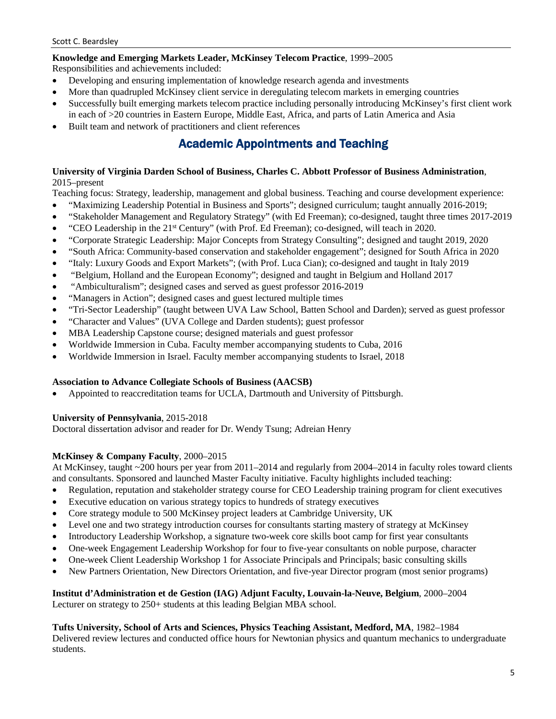### **Knowledge and Emerging Markets Leader, McKinsey Telecom Practice**, 1999–2005

Responsibilities and achievements included:

- Developing and ensuring implementation of knowledge research agenda and investments
- More than quadrupled McKinsey client service in deregulating telecom markets in emerging countries
- Successfully built emerging markets telecom practice including personally introducing McKinsey's first client work in each of >20 countries in Eastern Europe, Middle East, Africa, and parts of Latin America and Asia
- Built team and network of practitioners and client references

## Academic Appointments and Teaching

### **University of Virginia Darden School of Business, Charles C. Abbott Professor of Business Administration**, 2015–present

Teaching focus: Strategy, leadership, management and global business. Teaching and course development experience:

- "Maximizing Leadership Potential in Business and Sports"; designed curriculum; taught annually 2016-2019;
- "Stakeholder Management and Regulatory Strategy" (with Ed Freeman); co-designed, taught three times 2017-2019
- "CEO Leadership in the 21st Century" (with Prof. Ed Freeman); co-designed, will teach in 2020.
- "Corporate Strategic Leadership: Major Concepts from Strategy Consulting"; designed and taught 2019, 2020
- "South Africa: Community-based conservation and stakeholder engagement"; designed for South Africa in 2020
- "Italy: Luxury Goods and Export Markets"; (with Prof. Luca Cian); co-designed and taught in Italy 2019
- "Belgium, Holland and the European Economy"; designed and taught in Belgium and Holland 2017
- "Ambiculturalism"; designed cases and served as guest professor 2016-2019
- "Managers in Action"; designed cases and guest lectured multiple times
- "Tri-Sector Leadership" (taught between UVA Law School, Batten School and Darden); served as guest professor
- "Character and Values" (UVA College and Darden students); guest professor
- MBA Leadership Capstone course; designed materials and guest professor
- Worldwide Immersion in Cuba. Faculty member accompanying students to Cuba, 2016
- Worldwide Immersion in Israel. Faculty member accompanying students to Israel, 2018

#### **Association to Advance Collegiate Schools of Business (AACSB)**

• Appointed to reaccreditation teams for UCLA, Dartmouth and University of Pittsburgh.

**University of Pennsylvania**, 2015-2018

Doctoral dissertation advisor and reader for Dr. Wendy Tsung; Adreian Henry

### **McKinsey & Company Faculty**, 2000–2015

At McKinsey, taught ~200 hours per year from 2011–2014 and regularly from 2004–2014 in faculty roles toward clients and consultants. Sponsored and launched Master Faculty initiative. Faculty highlights included teaching:

- Regulation, reputation and stakeholder strategy course for CEO Leadership training program for client executives
- Executive education on various strategy topics to hundreds of strategy executives
- Core strategy module to 500 McKinsey project leaders at Cambridge University, UK
- Level one and two strategy introduction courses for consultants starting mastery of strategy at McKinsey
- Introductory Leadership Workshop, a signature two-week core skills boot camp for first year consultants
- One-week Engagement Leadership Workshop for four to five-year consultants on noble purpose, character
- One-week Client Leadership Workshop 1 for Associate Principals and Principals; basic consulting skills
- New Partners Orientation, New Directors Orientation, and five-year Director program (most senior programs)

**Institut d'Administration et de Gestion (IAG) Adjunt Faculty, Louvain-la-Neuve, Belgium**, 2000–2004 Lecturer on strategy to 250+ students at this leading Belgian MBA school.

#### **Tufts University, School of Arts and Sciences, Physics Teaching Assistant, Medford, MA**, 1982–1984

Delivered review lectures and conducted office hours for Newtonian physics and quantum mechanics to undergraduate students.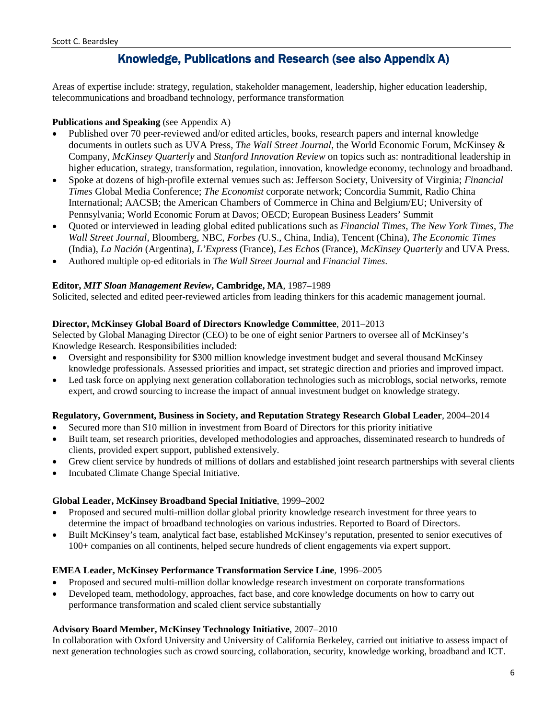## Knowledge, Publications and Research (see also Appendix A)

Areas of expertise include: strategy, regulation, stakeholder management, leadership, higher education leadership, telecommunications and broadband technology, performance transformation

### **Publications and Speaking** (see Appendix A)

- Published over 70 peer-reviewed and/or edited articles, books, research papers and internal knowledge documents in outlets such as UVA Press, *The Wall Street Journal*, the World Economic Forum, McKinsey & Company, *McKinsey Quarterly* and *Stanford Innovation Review* on topics such as: nontraditional leadership in higher education, strategy, transformation, regulation, innovation, knowledge economy, technology and broadband.
- Spoke at dozens of high-profile external venues such as: Jefferson Society, University of Virginia; *Financial Times* Global Media Conference; *The Economist* corporate network; Concordia Summit, Radio China International; AACSB; the American Chambers of Commerce in China and Belgium/EU; University of Pennsylvania; World Economic Forum at Davos; OECD; European Business Leaders' Summit
- Quoted or interviewed in leading global edited publications such as *Financial Times*, *The New York Times*, *The Wall Street Journal*, Bloomberg, NBC, *Forbes (*U.S., China, India), Tencent (China), *The Economic Times* (India), *La Nación* (Argentina), *L'Express* (France), *Les Echos* (France), *McKinsey Quarterly* and UVA Press.
- Authored multiple op-ed editorials in *The Wall Street Journal* and *Financial Times*.

### **Editor,** *MIT Sloan Management Review***, Cambridge, MA**, 1987–1989

Solicited, selected and edited peer-reviewed articles from leading thinkers for this academic management journal.

### **Director, McKinsey Global Board of Directors Knowledge Committee**, 2011–2013

Selected by Global Managing Director (CEO) to be one of eight senior Partners to oversee all of McKinsey's Knowledge Research. Responsibilities included:

- Oversight and responsibility for \$300 million knowledge investment budget and several thousand McKinsey knowledge professionals. Assessed priorities and impact, set strategic direction and priories and improved impact.
- Led task force on applying next generation collaboration technologies such as microblogs, social networks, remote expert, and crowd sourcing to increase the impact of annual investment budget on knowledge strategy.

### **Regulatory, Government, Business in Society, and Reputation Strategy Research Global Leader**, 2004–2014

- Secured more than \$10 million in investment from Board of Directors for this priority initiative
- Built team, set research priorities, developed methodologies and approaches, disseminated research to hundreds of clients, provided expert support, published extensively.
- Grew client service by hundreds of millions of dollars and established joint research partnerships with several clients
- Incubated Climate Change Special Initiative.

### **Global Leader, McKinsey Broadband Special Initiative**, 1999–2002

- Proposed and secured multi-million dollar global priority knowledge research investment for three years to determine the impact of broadband technologies on various industries. Reported to Board of Directors.
- Built McKinsey's team, analytical fact base, established McKinsey's reputation, presented to senior executives of 100+ companies on all continents, helped secure hundreds of client engagements via expert support.

### **EMEA Leader, McKinsey Performance Transformation Service Line**, 1996–2005

- Proposed and secured multi-million dollar knowledge research investment on corporate transformations
- Developed team, methodology, approaches, fact base, and core knowledge documents on how to carry out performance transformation and scaled client service substantially

### **Advisory Board Member, McKinsey Technology Initiative**, 2007–2010

In collaboration with Oxford University and University of California Berkeley, carried out initiative to assess impact of next generation technologies such as crowd sourcing, collaboration, security, knowledge working, broadband and ICT.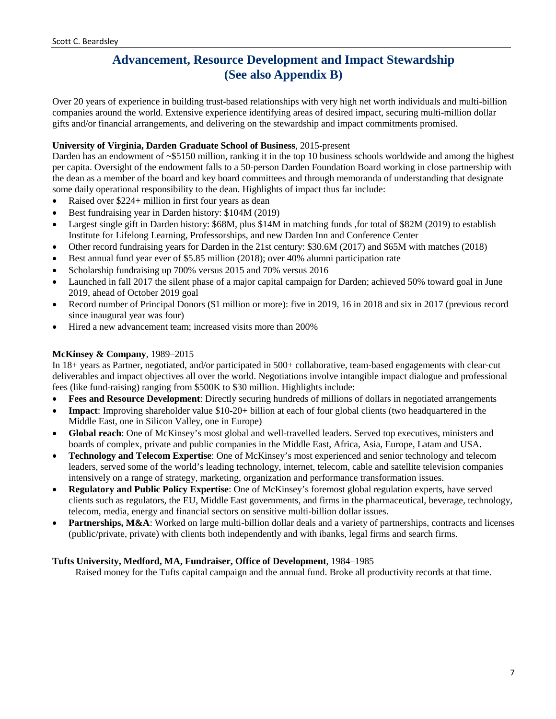## **Advancement, Resource Development and Impact Stewardship (See also Appendix B)**

Over 20 years of experience in building trust-based relationships with very high net worth individuals and multi-billion companies around the world. Extensive experience identifying areas of desired impact, securing multi-million dollar gifts and/or financial arrangements, and delivering on the stewardship and impact commitments promised.

### **University of Virginia, Darden Graduate School of Business**, 2015-present

Darden has an endowment of ~\$5150 million, ranking it in the top 10 business schools worldwide and among the highest per capita. Oversight of the endowment falls to a 50-person Darden Foundation Board working in close partnership with the dean as a member of the board and key board committees and through memoranda of understanding that designate some daily operational responsibility to the dean. Highlights of impact thus far include:

- Raised over \$224+ million in first four years as dean
- Best fundraising year in Darden history: \$104M (2019)
- Largest single gift in Darden history: \$68M, plus \$14M in matching funds , for total of \$82M (2019) to establish Institute for Lifelong Learning, Professorships, and new Darden Inn and Conference Center
- Other record fundraising years for Darden in the 21st century: \$30.6M (2017) and \$65M with matches (2018)
- Best annual fund year ever of \$5.85 million (2018); over 40% alumni participation rate
- Scholarship fundraising up 700% versus 2015 and 70% versus 2016
- Launched in fall 2017 the silent phase of a major capital campaign for Darden; achieved 50% toward goal in June 2019, ahead of October 2019 goal
- Record number of Principal Donors (\$1 million or more): five in 2019, 16 in 2018 and six in 2017 (previous record since inaugural year was four)
- Hired a new advancement team; increased visits more than 200%

### **McKinsey & Company**, 1989–2015

In 18+ years as Partner, negotiated, and/or participated in 500+ collaborative, team-based engagements with clear-cut deliverables and impact objectives all over the world. Negotiations involve intangible impact dialogue and professional fees (like fund-raising) ranging from \$500K to \$30 million. Highlights include:

- **Fees and Resource Development**: Directly securing hundreds of millions of dollars in negotiated arrangements
- **Impact**: Improving shareholder value \$10-20+ billion at each of four global clients (two headquartered in the Middle East, one in Silicon Valley, one in Europe)
- **Global reach**: One of McKinsey's most global and well-travelled leaders. Served top executives, ministers and boards of complex, private and public companies in the Middle East, Africa, Asia, Europe, Latam and USA.
- **Technology and Telecom Expertise**: One of McKinsey's most experienced and senior technology and telecom leaders, served some of the world's leading technology, internet, telecom, cable and satellite television companies intensively on a range of strategy, marketing, organization and performance transformation issues.
- **Regulatory and Public Policy Expertise**: One of McKinsey's foremost global regulation experts, have served clients such as regulators, the EU, Middle East governments, and firms in the pharmaceutical, beverage, technology, telecom, media, energy and financial sectors on sensitive multi-billion dollar issues.
- **Partnerships, M&A**: Worked on large multi-billion dollar deals and a variety of partnerships, contracts and licenses (public/private, private) with clients both independently and with ibanks, legal firms and search firms.

### **Tufts University, Medford, MA, Fundraiser, Office of Development**, 1984–1985

Raised money for the Tufts capital campaign and the annual fund. Broke all productivity records at that time.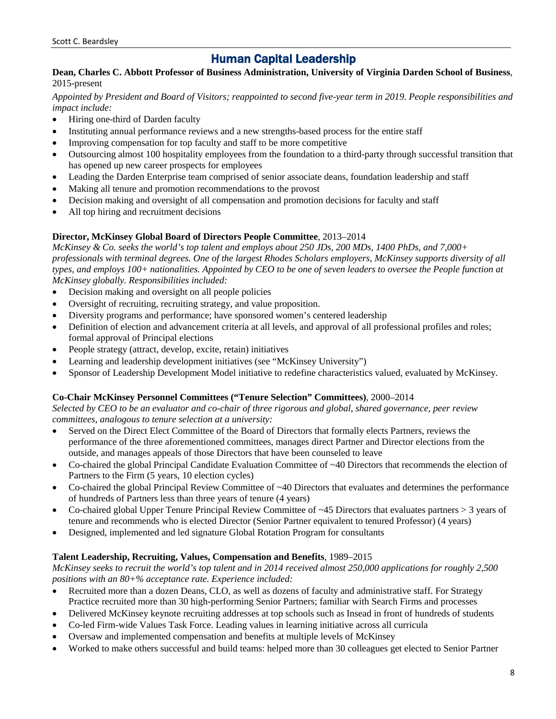## Human Capital Leadership

### **Dean, Charles C. Abbott Professor of Business Administration, University of Virginia Darden School of Business**, 2015-present

*Appointed by President and Board of Visitors; reappointed to second five-year term in 2019. People responsibilities and impact include:*

- Hiring one-third of Darden faculty
- Instituting annual performance reviews and a new strengths-based process for the entire staff
- Improving compensation for top faculty and staff to be more competitive
- Outsourcing almost 100 hospitality employees from the foundation to a third-party through successful transition that has opened up new career prospects for employees
- Leading the Darden Enterprise team comprised of senior associate deans, foundation leadership and staff
- Making all tenure and promotion recommendations to the provost
- Decision making and oversight of all compensation and promotion decisions for faculty and staff
- All top hiring and recruitment decisions

### **Director, McKinsey Global Board of Directors People Committee**, 2013–2014

*McKinsey & Co. seeks the world's top talent and employs about 250 JDs, 200 MDs, 1400 PhDs, and 7,000+ professionals with terminal degrees. One of the largest Rhodes Scholars employers, McKinsey supports diversity of all types, and employs 100+ nationalities. Appointed by CEO to be one of seven leaders to oversee the People function at McKinsey globally. Responsibilities included:* 

- Decision making and oversight on all people policies
- Oversight of recruiting, recruiting strategy, and value proposition.
- Diversity programs and performance; have sponsored women's centered leadership
- Definition of election and advancement criteria at all levels, and approval of all professional profiles and roles; formal approval of Principal elections
- People strategy (attract, develop, excite, retain) initiatives
- Learning and leadership development initiatives (see "McKinsey University")
- Sponsor of Leadership Development Model initiative to redefine characteristics valued, evaluated by McKinsey.

### **Co-Chair McKinsey Personnel Committees ("Tenure Selection" Committees)**, 2000–2014

*Selected by CEO to be an evaluator and co-chair of three rigorous and global, shared governance, peer review committees, analogous to tenure selection at a university:* 

- Served on the Direct Elect Committee of the Board of Directors that formally elects Partners, reviews the performance of the three aforementioned committees, manages direct Partner and Director elections from the outside, and manages appeals of those Directors that have been counseled to leave
- Co-chaired the global Principal Candidate Evaluation Committee of ~40 Directors that recommends the election of Partners to the Firm (5 years, 10 election cycles)
- Co-chaired the global Principal Review Committee of ~40 Directors that evaluates and determines the performance of hundreds of Partners less than three years of tenure (4 years)
- Co-chaired global Upper Tenure Principal Review Committee of ~45 Directors that evaluates partners > 3 years of tenure and recommends who is elected Director (Senior Partner equivalent to tenured Professor) (4 years)
- Designed, implemented and led signature Global Rotation Program for consultants

### **Talent Leadership, Recruiting, Values, Compensation and Benefits**, 1989–2015

*McKinsey seeks to recruit the world's top talent and in 2014 received almost 250,000 applications for roughly 2,500 positions with an 80+% acceptance rate. Experience included:* 

- Recruited more than a dozen Deans, CLO, as well as dozens of faculty and administrative staff. For Strategy Practice recruited more than 30 high-performing Senior Partners; familiar with Search Firms and processes
- Delivered McKinsey keynote recruiting addresses at top schools such as Insead in front of hundreds of students
- Co-led Firm-wide Values Task Force. Leading values in learning initiative across all curricula
- Oversaw and implemented compensation and benefits at multiple levels of McKinsey
- Worked to make others successful and build teams: helped more than 30 colleagues get elected to Senior Partner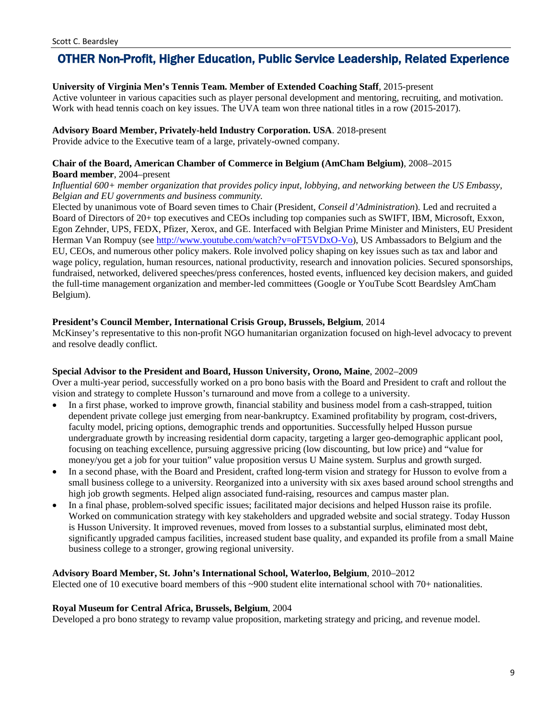## OTHER Non-Profit, Higher Education, Public Service Leadership, Related Experience

#### **University of Virginia Men's Tennis Team. Member of Extended Coaching Staff**, 2015-present

Active volunteer in various capacities such as player personal development and mentoring, recruiting, and motivation. Work with head tennis coach on key issues. The UVA team won three national titles in a row (2015-2017).

#### **Advisory Board Member, Privately-held Industry Corporation. USA**. 2018-present

Provide advice to the Executive team of a large, privately-owned company.

### **Chair of the Board, American Chamber of Commerce in Belgium (AmCham Belgium)**, 2008–2015

#### **Board member**, 2004–present

*Influential 600+ member organization that provides policy input, lobbying, and networking between the US Embassy, Belgian and EU governments and business community.*

Elected by unanimous vote of Board seven times to Chair (President, *Conseil d'Administration*). Led and recruited a Board of Directors of 20+ top executives and CEOs including top companies such as SWIFT, IBM, Microsoft, Exxon, Egon Zehnder, UPS, FEDX, Pfizer, Xerox, and GE. Interfaced with Belgian Prime Minister and Ministers, EU President Herman Van Rompuy (see [http://www.youtube.com/watch?v=oFT5VDxO-Vo\)](http://www.youtube.com/watch?v=oFT5VDxO-Vo), US Ambassadors to Belgium and the EU, CEOs, and numerous other policy makers. Role involved policy shaping on key issues such as tax and labor and wage policy, regulation, human resources, national productivity, research and innovation policies. Secured sponsorships, fundraised, networked, delivered speeches/press conferences, hosted events, influenced key decision makers, and guided the full-time management organization and member-led committees (Google or YouTube Scott Beardsley AmCham Belgium).

### **President's Council Member, International Crisis Group, Brussels, Belgium**, 2014

McKinsey's representative to this non-profit NGO humanitarian organization focused on high-level advocacy to prevent and resolve deadly conflict.

#### **Special Advisor to the President and Board, Husson University, Orono, Maine**, 2002–2009

Over a multi-year period, successfully worked on a pro bono basis with the Board and President to craft and rollout the vision and strategy to complete Husson's turnaround and move from a college to a university.

- In a first phase, worked to improve growth, financial stability and business model from a cash-strapped, tuition dependent private college just emerging from near-bankruptcy. Examined profitability by program, cost-drivers, faculty model, pricing options, demographic trends and opportunities. Successfully helped Husson pursue undergraduate growth by increasing residential dorm capacity, targeting a larger geo-demographic applicant pool, focusing on teaching excellence, pursuing aggressive pricing (low discounting, but low price) and "value for money/you get a job for your tuition" value proposition versus U Maine system. Surplus and growth surged.
- In a second phase, with the Board and President, crafted long-term vision and strategy for Husson to evolve from a small business college to a university. Reorganized into a university with six axes based around school strengths and high job growth segments. Helped align associated fund-raising, resources and campus master plan.
- In a final phase, problem-solved specific issues; facilitated major decisions and helped Husson raise its profile. Worked on communication strategy with key stakeholders and upgraded website and social strategy. Today Husson is Husson University. It improved revenues, moved from losses to a substantial surplus, eliminated most debt, significantly upgraded campus facilities, increased student base quality, and expanded its profile from a small Maine business college to a stronger, growing regional university.

#### **Advisory Board Member, St. John's International School, Waterloo, Belgium**, 2010–2012

Elected one of 10 executive board members of this ~900 student elite international school with 70+ nationalities.

#### **Royal Museum for Central Africa, Brussels, Belgium**, 2004

Developed a pro bono strategy to revamp value proposition, marketing strategy and pricing, and revenue model.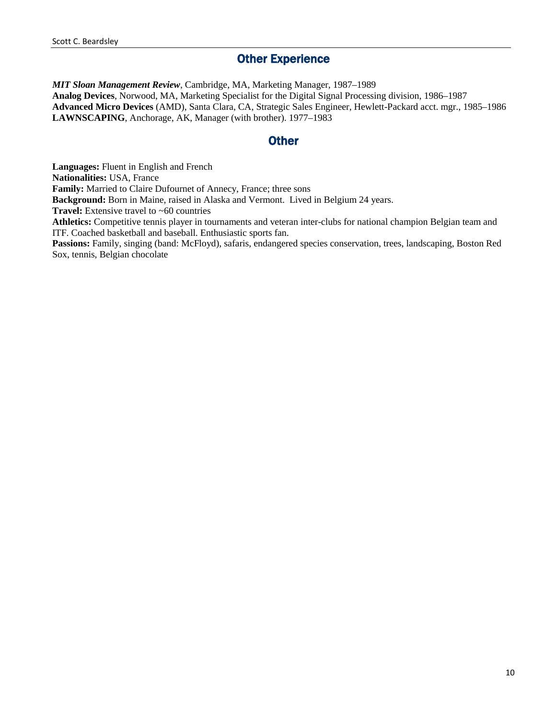## **Other Experience**

*MIT Sloan Management Review*, Cambridge, MA, Marketing Manager, 1987–1989 **Analog Devices**, Norwood, MA, Marketing Specialist for the Digital Signal Processing division, 1986–1987 **Advanced Micro Devices** (AMD), Santa Clara, CA, Strategic Sales Engineer, Hewlett-Packard acct. mgr., 1985–1986 **LAWNSCAPING**, Anchorage, AK, Manager (with brother). 1977–1983

## **Other**

**Languages:** Fluent in English and French **Nationalities:** USA, France **Family:** Married to Claire Dufournet of Annecy, France; three sons **Background:** Born in Maine, raised in Alaska and Vermont. Lived in Belgium 24 years. **Travel:** Extensive travel to ~60 countries **Athletics:** Competitive tennis player in tournaments and veteran inter-clubs for national champion Belgian team and ITF. Coached basketball and baseball. Enthusiastic sports fan. **Passions:** Family, singing (band: McFloyd), safaris, endangered species conservation, trees, landscaping, Boston Red Sox, tennis, Belgian chocolate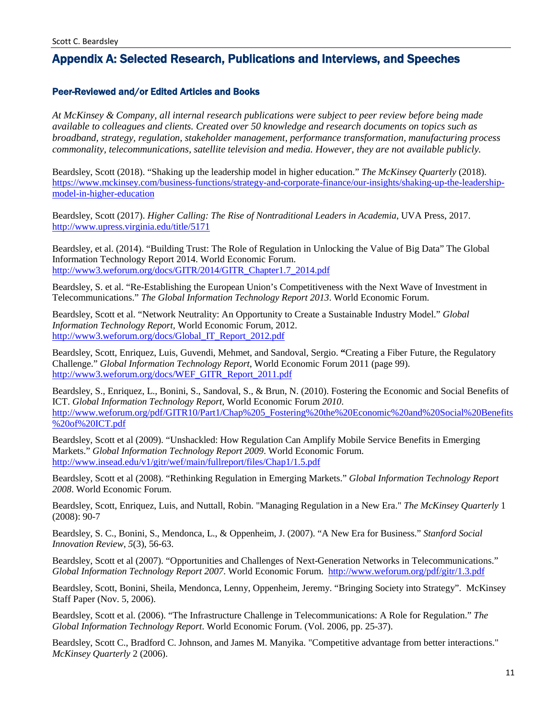## Appendix A: Selected Research, Publications and Interviews, and Speeches

### Peer-Reviewed and/or Edited Articles and Books

*At McKinsey & Company, all internal research publications were subject to peer review before being made available to colleagues and clients. Created over 50 knowledge and research documents on topics such as broadband, strategy, regulation, stakeholder management, performance transformation, manufacturing process commonality, telecommunications, satellite television and media. However, they are not available publicly.* 

Beardsley, Scott (2018). "Shaking up the leadership model in higher education." *The McKinsey Quarterly* (2018). [https://www.mckinsey.com/business-functions/strategy-and-corporate-finance/our-insights/shaking-up-the-leadership](https://www.mckinsey.com/business-functions/strategy-and-corporate-finance/our-insights/shaking-up-the-leadership-model-in-higher-education)[model-in-higher-education](https://www.mckinsey.com/business-functions/strategy-and-corporate-finance/our-insights/shaking-up-the-leadership-model-in-higher-education)

Beardsley, Scott (2017). *Higher Calling: The Rise of Nontraditional Leaders in Academia*, UVA Press, 2017. <http://www.upress.virginia.edu/title/5171>

Beardsley, et al. (2014). "Building Trust: The Role of Regulation in Unlocking the Value of Big Data" The Global Information Technology Report 2014. World Economic Forum. [http://www3.weforum.org/docs/GITR/2014/GITR\\_Chapter1.7\\_2014.pdf](http://www3.weforum.org/docs/GITR/2014/GITR_Chapter1.7_2014.pdf)

Beardsley, S. et al. "Re-Establishing the European Union's Competitiveness with the Next Wave of Investment in Telecommunications." *The Global Information Technology Report 2013*. World Economic Forum.

Beardsley, Scott et al. "Network Neutrality: An Opportunity to Create a Sustainable Industry Model." *Global Information Technology Report,* World Economic Forum, 2012. [http://www3.weforum.org/docs/Global\\_IT\\_Report\\_2012.pdf](http://www3.weforum.org/docs/Global_IT_Report_2012.pdf)

Beardsley, Scott, Enriquez, Luis, Guvendi, Mehmet, and Sandoval, Sergio. **"**Creating a Fiber Future, the Regulatory Challenge." *Global Information Technology Report*, World Economic Forum 2011 (page 99). [http://www3.weforum.org/docs/WEF\\_GITR\\_Report\\_2011.pdf](http://www3.weforum.org/docs/WEF_GITR_Report_2011.pdf)

Beardsley, S., Enriquez, L., Bonini, S., Sandoval, S., & Brun, N. (2010). Fostering the Economic and Social Benefits of ICT. *Global Information Technology Report,* World Economic Forum *2010*. [http://www.weforum.org/pdf/GITR10/Part1/Chap%205\\_Fostering%20the%20Economic%20and%20Social%20Benefits](http://www.weforum.org/pdf/GITR10/Part1/Chap%205_Fostering%20the%20Economic%20and%20Social%20Benefits%20of%20ICT.pdf) [%20of%20ICT.pdf](http://www.weforum.org/pdf/GITR10/Part1/Chap%205_Fostering%20the%20Economic%20and%20Social%20Benefits%20of%20ICT.pdf)

Beardsley, Scott et al (2009). "Unshackled: How Regulation Can Amplify Mobile Service Benefits in Emerging Markets." *Global Information Technology Report 2009*. World Economic Forum. <http://www.insead.edu/v1/gitr/wef/main/fullreport/files/Chap1/1.5.pdf>

Beardsley, Scott et al (2008). "Rethinking Regulation in Emerging Markets." *Global Information Technology Report 2008*. World Economic Forum.

Beardsley, Scott, Enriquez, Luis, and Nuttall, Robin. "Managing Regulation in a New Era." *The McKinsey Quarterly* 1 (2008): 90-7

Beardsley, S. C., Bonini, S., Mendonca, L., & Oppenheim, J. (2007). "A New Era for Business." *Stanford Social Innovation Review*, *5*(3), 56-63.

Beardsley, Scott et al (2007). "Opportunities and Challenges of Next-Generation Networks in Telecommunications." *Global Information Technology Report 2007*. World Economic Forum. <http://www.weforum.org/pdf/gitr/1.3.pdf>

Beardsley, Scott, Bonini, Sheila, Mendonca, Lenny, Oppenheim, Jeremy. "Bringing Society into Strategy". McKinsey Staff Paper (Nov. 5, 2006).

Beardsley, Scott et al. (2006). "The Infrastructure Challenge in Telecommunications: A Role for Regulation." *The Global Information Technology Report*. World Economic Forum. (Vol. 2006, pp. 25-37).

Beardsley, Scott C., Bradford C. Johnson, and James M. Manyika. "Competitive advantage from better interactions." *McKinsey Quarterly* 2 (2006).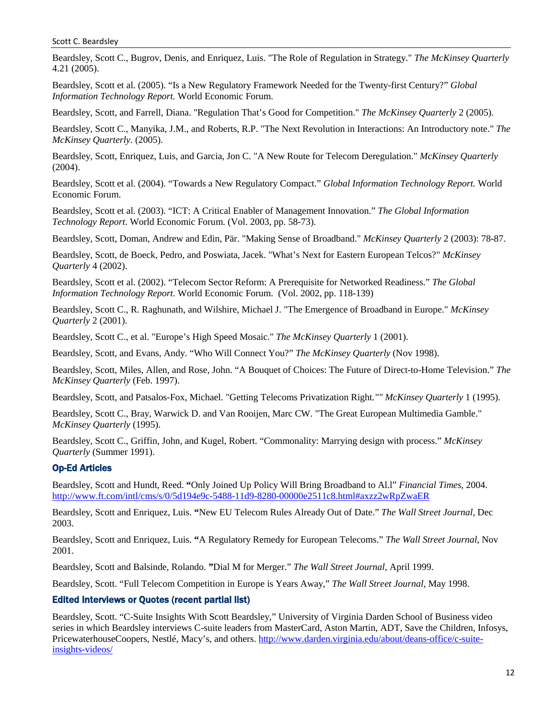Beardsley, Scott C., Bugrov, Denis, and Enriquez, Luis. "The Role of Regulation in Strategy." *The McKinsey Quarterly* 4.21 (2005).

Beardsley, Scott et al. (2005). "Is a New Regulatory Framework Needed for the Twenty-first Century?" *Global Information Technology Report.* World Economic Forum.

Beardsley, Scott, and Farrell, Diana. "Regulation That's Good for Competition." *The McKinsey Quarterly* 2 (2005).

Beardsley, Scott C., Manyika, J.M., and Roberts, R.P. "The Next Revolution in Interactions: An Introductory note." *The McKinsey Quarterly.* (2005).

Beardsley, Scott, Enriquez, Luis, and Garcia, Jon C. "A New Route for Telecom Deregulation." *McKinsey Quarterly* (2004).

Beardsley, Scott et al. (2004). "Towards a New Regulatory Compact." *Global Information Technology Report.* World Economic Forum.

Beardsley, Scott et al. (2003). "ICT: A Critical Enabler of Management Innovation." *The Global Information Technology Report*. World Economic Forum. (Vol. 2003, pp. 58-73).

Beardsley, Scott, Doman, Andrew and Edin, Pär. "Making Sense of Broadband." *McKinsey Quarterly* 2 (2003): 78-87.

Beardsley, Scott, de Boeck, Pedro, and Poswiata, Jacek. "What's Next for Eastern European Telcos?" *McKinsey Quarterly* 4 (2002).

Beardsley, Scott et al. (2002). "Telecom Sector Reform: A Prerequisite for Networked Readiness." *The Global Information Technology Report*. World Economic Forum. (Vol. 2002, pp. 118-139)

Beardsley, Scott C., R. Raghunath, and Wilshire, Michael J. "The Emergence of Broadband in Europe." *McKinsey Quarterly* 2 (2001).

Beardsley, Scott C., et al. "Europe's High Speed Mosaic." *The McKinsey Quarterly* 1 (2001).

Beardsley, Scott, and Evans, Andy. "Who Will Connect You?" *The McKinsey Quarterly* (Nov 1998).

Beardsley, Scott, Miles, Allen, and Rose, John. "A Bouquet of Choices: The Future of Direct-to-Home Television." *The McKinsey Quarterly* (Feb. 1997).

Beardsley, Scott, and Patsalos-Fox, Michael. "Getting Telecoms Privatization Right*."" McKinsey Quarterly* 1 (1995).

Beardsley, Scott C., Bray, Warwick D. and Van Rooijen, Marc CW. "The Great European Multimedia Gamble." *McKinsey Quarterly* (1995).

Beardsley, Scott C., Griffin, John, and Kugel, Robert. "Commonality: Marrying design with process." *McKinsey Quarterly* (Summer 1991).

## Op-Ed Articles

Beardsley, Scott and Hundt, Reed. **"**Only Joined Up Policy Will Bring Broadband to Al.l" *Financial Times*, 2004. <http://www.ft.com/intl/cms/s/0/5d194e9c-5488-11d9-8280-00000e2511c8.html#axzz2wRpZwaER>

Beardsley, Scott and Enriquez, Luis. **"**New EU Telecom Rules Already Out of Date." *The Wall Street Journal*, Dec 2003.

Beardsley, Scott and Enriquez, Luis. **"**A Regulatory Remedy for European Telecoms." *The Wall Street Journal*, Nov 2001.

Beardsley, Scott and Balsinde, Rolando. **"**Dial M for Merger." *The Wall Street Journal*, April 1999.

Beardsley, Scott. "Full Telecom Competition in Europe is Years Away," *The Wall Street Journal*, May 1998.

### Edited Interviews or Quotes (recent partial list)

Beardsley, Scott. "C-Suite Insights With Scott Beardsley," University of Virginia Darden School of Business video series in which Beardsley interviews C-suite leaders from MasterCard, Aston Martin, ADT, Save the Children, Infosys, PricewaterhouseCoopers, Nestlé, Macy's, and others. [http://www.darden.virginia.edu/about/deans-office/c-suite](http://www.darden.virginia.edu/about/deans-office/c-suite-insights-videos/)[insights-videos/](http://www.darden.virginia.edu/about/deans-office/c-suite-insights-videos/)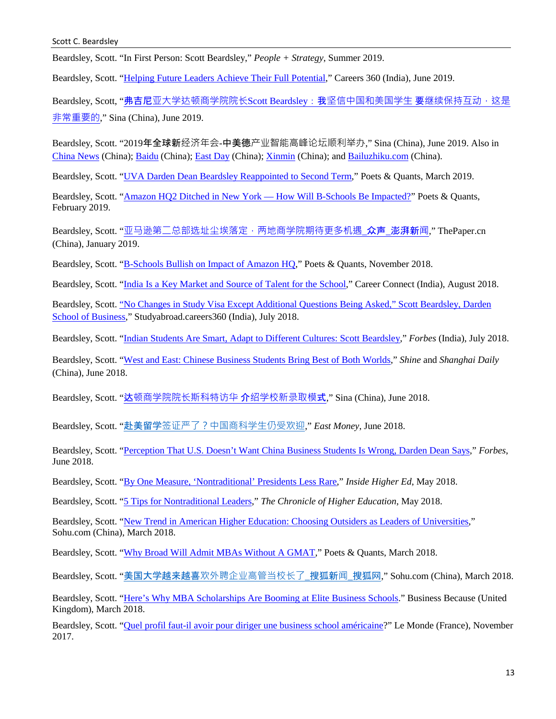Beardsley, Scott. "In First Person: Scott Beardsley," *People + Strategy*, Summer 2019.

Beardsley, Scott. ["Helping Future Leaders Achieve Their Full Potential,](https://www.darden.virginia.edu/sites/default/files/inline-files/Careers360%2C%20june%202019%2C%20Pg%20213%2C%20National_1.jpg)" Careers 360 (India), June 2019.

Beardsley, Scott, "弗吉尼[亚大学达顿商学院院长](https://finance.sina.com.cn/roll/2019-06-14/doc-ihvhiews8717972.shtml)Scott Beardsley: 我坚信中国和美国学生 要继续保持互动, 这是 [非常重要的](https://finance.sina.com.cn/roll/2019-06-14/doc-ihvhiews8717972.shtml)," Sina (China), June 2019.

Beardsley, Scott. "2019年全球新经济年会-中美德产业智能高峰论坛顺利举办," Sina (China), June 2019. Also in [China News](http://www.sh.chinanews.com/chanjing/2019-06-12/58158.shtml) (China); [Baidu](https://baijiahao.baidu.com/s?id=1636112673382317499&wfr=spider&for=pc) (China); [East Day](http://mini.eastday.com/a/190613003625191.html) (China); [Xinmin](http://newsxmwb.xinmin.cn/caijing/2018/05/06/31385041.html) (China); and [Bailuzhiku.com](http://www.bailuzhiku.com/news/detail/20190613003820771011855370.html) (China).

Beardsley, Scott. ["UVA Darden Dean Beardsley Reappointed to Second Term,](https://poetsandquants.com/2019/04/01/uva-darden-dean-beardsley-reappointed-to-second-term/?pq-category=business-school-news)" Poets & Quants, March 2019.

Beardsley, Scott. ["Amazon HQ2 Ditched in New York —](https://poetsandquants.com/2019/04/01/uva-darden-dean-beardsley-reappointed-to-second-term/?pq-category=business-school-news) How Will B-Schools Be Impacted?" Poets & Quants, February 2019.

Beardsley, Scott. "亚马逊第二总部选址尘埃落定, 两地商学院期待更多机遇 众声 澎湃新闻," ThePaper.cn (China), January 2019.

Beardsley, Scott. ["B-Schools Bullish on Impact of Amazon HQ,](https://poetsandquants.com/2018/11/19/b-schools-bullish-on-impact-of-amazon-hq/?pq-category=business-school-news)" Poets & Quants, November 2018.

Beardsley, Scott. ["India Is a Key Market and Source of Talent for the School,](https://www.darden.virginia.edu/sites/default/files/inline-files/CareerConnect%20_DardenSchoolofBusiness_%20Page46-47.pdf)" Career Connect (India), August 2018.

Beardsley, Scott. ["No Changes in Study Visa Except Additional Questions Being Asked," Scott Beardsley, Darden](https://studyabroad.careers360.com/articles/study-visa-no-changes-in-study-visa-except-additional-questions-scott-beardsley-darden-school-of-business)  [School of Business,](https://studyabroad.careers360.com/articles/study-visa-no-changes-in-study-visa-except-additional-questions-scott-beardsley-darden-school-of-business)" Studyabroad.careers360 (India), July 2018.

Beardsley, Scott. ["Indian Students Are Smart, Adapt to Different Cultures: Scott Beardsley,](http://www.forbesindia.com/article/special/indian-students-are-smart-adapt-to-different-cultures-scott-beardsley/50711/1)" *Forbes* (India), July 2018.

Beardsley, Scott. ["West and East: Chinese Business Students Bring Best of Both Worlds,"](https://www.shine.cn/opinion/foreign-views/1806297584/) *Shine* and *Shanghai Daily* (China), June 2018.

Beardsley, Scott. "达[顿商学院院长斯科特访华](http://edu.sina.com.cn/bschool/2018-06-25/doc-ihencxtt8686506.shtml) 介绍学校新录取模式," Sina (China), June 2018.

Beardsley, Scott. "赴美留学[签证严了?中国商科学生仍受欢迎](http://guba.eastmoney.com/news,cjpl,767654128.html)," *East Money*, June 2018.

Beardsley, Scott. ["Perception That U.S. Doesn't Want China Business Students Is Wrong, Darden Dean Says,](https://www.forbes.com/sites/russellflannery/2018/06/18/perception-that-u-s-doesnt-want-china-business-students-is-wrong-darden-dean-says/#464b75bc20c3)" *Forbes*, June 2018.

Beardsley, Scott. ["By One Measure, 'Nontraditional' Presidents Less Rare,](https://www.insidehighered.com/news/2018/05/30/new-findings-cast-net-more-broadly-nontraditional-college-presidents)" *Inside Higher Ed*, May 2018.

Beardsley, Scott. ["5 Tips for Nontraditional Leaders,](https://www.chronicle.com/article/5-Tips-for-Nontraditional/243338)" *The Chronicle of Higher Education*, May 2018.

Beardsley, Scott. ["New Trend in American Higher Education: Choosing Outsiders as Leaders of Universities,"](http://www.sohu.com/a/226448228_101928) Sohu.com (China), March 2018.

Beardsley, Scott. ["Why Broad Will Admit MBAs Without A GMAT,](https://poetsandquants.com/2018/03/26/why-michigan-state-will-review-mba-applicants-without-a-gmat/)" Poets & Quants, March 2018.

Beardsley, Scott. "美国大学越来越喜[欢外聘企业高管当校长了](http://www.sohu.com/a/224746844_313745)\_搜狐新闻\_搜狐网," Sohu.com (China), March 2018.

Beardsley, Scott. ["Here's Why MBA Scholarships Are Booming at Elite Business Schools.](https://www.businessbecause.com/mba-application/5162/mba-scholarships-boom-elite-business-schools)" Business Because (United Kingdom), March 2018.

Beardsley, Scott. ["Quel profil faut-il avoir pour diriger une business school américaine?](http://orientation.blog.lemonde.fr/2017/11/15/de-mckinsey-a-luniversite-de-virginie-un-dean-pas-comme-les-autres/#xtor=RSS-32280322)" Le Monde (France), November 2017.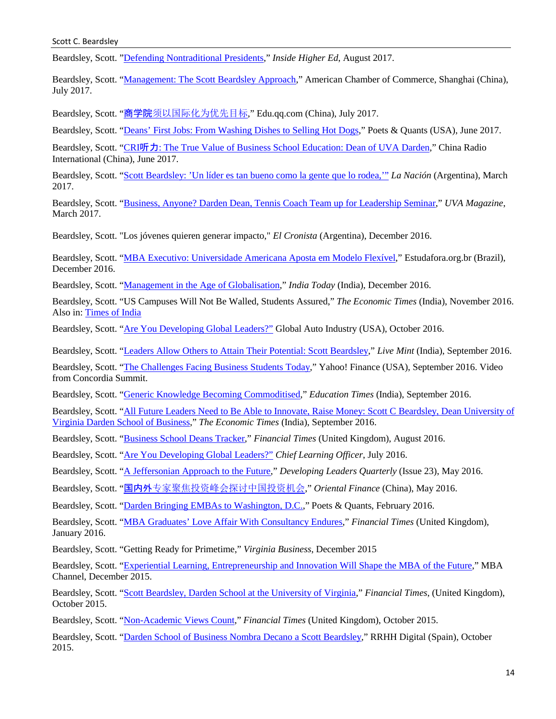Beardsley, Scott. ["Defending Nontraditional Presidents,](https://www.insidehighered.com/news/2017/08/30/new-book-examines-developments-hiring-nontraditional-college-presidents)" *Inside Higher Ed*, August 2017.

Beardsley, Scott. ["Management: The Scott Beardsley Approach,](https://www.amcham-shanghai.org/en/article/management-scott-beardsley-approach)" American Chamber of Commerce, Shanghai (China), July 2017.

Beardsley, Scott. "商学院[须以国际化为优先目标](http://edu.qq.com/bschool/yclm/jiaose/17.htm)," Edu.qq.com (China), July 2017.

Beardsley, Scott. ["Deans' First Jobs: From Washing Dishes to Selling Hot Dogs,](http://poetsandquants.com/2017/06/19/deans-first-jobs-from-washing-dishes-to-selling-hot-dogs/)" Poets & Quants (USA), June 2017.

Beardsley, Scott. "CRI听力: [The True Value of Business School Education: Dean of UVA Darden,](http://chinaplus.cri.cn/news/china/9/20170616/6497.html)" China Radio International (China), June 2017.

Beardsley, Scott. ["Scott Beardsley: 'Un líder es tan bueno como](http://www.lanacion.com.ar/1990880-scott-beardsley-un-lider-es-tan-bueno-como-la-gente-que-lo-rodea) la gente que lo rodea,'" *La Nación* (Argentina), March 2017.

Beardsley, Scott. ["Business, Anyone? Darden Dean, Tennis Coach Team up for Leadership Seminar,](http://uvamagazine.org/articles/business_anyone)" *UVA Magazine*, March 2017.

Beardsley, Scott. "Los jóvenes quieren generar impacto," *El Cronista* (Argentina), December 201[6.](http://www.cronista.com/contenidos/2016/12/28/noticia_0004.html)

Beardsley, Scott. ["MBA Executivo: Universidade Americana Aposta em Modelo Flexível,](https://www.estudarfora.org.br/mba-executivo-universidade-americana/)" Estudafora.org.br (Brazil), December 2016.

Beardsley, Scott. ["Management in the Age of Globalisation,](http://indiatoday.intoday.in/story/management-in-the-age-of-globalisation-mba-education-scott-beardsley/1/829678.html)" *India Today* (India), December 2016.

Beardsley, Scott. "US Campuses Will Not Be Walled, Students Assured," *The Economic Times* (India), November 2016[.](http://economictimes.indiatimes.com/nri/visa-and-immigration/us-campuses-will-not-be-walled-students-assured/articleshow/55609793.cms) Also in: [Times of India](http://timesofindia.indiatimes.com/home/education/news/US-campuses-will-not-be-walled-students-assured/articleshow/55613900.cms) 

Beardsley, Scott. ["Are You Developing Global Leaders?"](http://www.globalautoindustry.com/article.php?id=14885&jaar=2016&maand=10&targ) Global Auto Industry (USA), October 2016.

Beardsley, Scott. ["Leaders Allow Others to Attain Their Potential: Scott Beardsley,](http://www.livemint.com/Politics/CS6NlJrsgLIU7pTt05vgUJ/Leaders-allow-others-to-attain-their-potential-Scott-Beards.html)" *Live Mint* (India), September 2016.

Beardsley, Scott. ["The Challenges Facing Business Students Today,](http://finance.yahoo.com/video/challenges-facing-business-students-today-173958350.html)" Yahoo! Finance (USA), September 2016. Video from Concordia Summit.

Beardsley, Scott. ["Generic Knowledge Becoming Commoditised,](http://www.educationtimes.com/article/245/20160912201609101827394392f473ff7/%E2%80%98Generic-knowledge-becoming-commoditised%E2%80%99-Applied-value.html)" *Education Times* (India), September 2016.

Beardsley, Scott. ["All Future Leaders Need to Be Able to Innovate, Raise Money: Scott C Beardsley, Dean University of](http://economictimes.indiatimes.com/opinion/interviews/all-future-leaders-need-to-be-able-to-innovate-raise-money-scott-c-beardsley-dean-university-of-virginia-darden-school-of-business/articleshow/54302695.cms)  [Virginia Darden School of Business,](http://economictimes.indiatimes.com/opinion/interviews/all-future-leaders-need-to-be-able-to-innovate-raise-money-scott-c-beardsley-dean-university-of-virginia-darden-school-of-business/articleshow/54302695.cms)" *The Economic Times* (India), September 2016.

Beardsley, Scott. ["Business School Deans Tracker,](http://www.ft.com/cms/s/2/2f9a3ea2-7670-11e0-b05b-00144feabdc0.html#axzz4GHb6fPfN)" *Financial Times* (United Kingdom), August 2016.

Beardsley, Scott. ["Are You Developing Global Leaders?"](http://www.clomedia.com/2016/07/27/are-you-developing-global-leaders/) *Chief Learning Officer*, July 2016.

Beardsley, Scott. ["A Jeffersonian Approach to the Future,](http://iedp.com/articles/scott-beardsley-in-conversation/)" *Developing Leaders Quarterly* (Issue 23), May 2016.

Beardsley, Scott. "国内外[专家聚焦投资峰会探讨中国投资机会](http://v.qq.com/page/y/h/u/y0300ebfphu.html)," *Oriental Finance* (China), May 2016.

Beardsley, Scott. ["Darden Bringing EMBAs to Washington, D.C.,](http://poetsandquantsforexecs.com/2016/02/02/darden-bringing-embas-to-washington-d-c/)" Poets & Quants, February 2016.

Beardsley, Scott. ["MBA Graduates' Love Affair With Consultancy Endures,](http://www.ft.com/intl/cms/s/2/4030aa82-9775-11e5-9228-87e603d47bdc.html#axzz3yvIocCpC)" *Financial Times* (United Kingdom), January 2016.

Beardsley, Scott. "Getting Ready for Primetime," *Virginia Business*, December 2015

Beardsley, Scott. ["Experiential Learning, Entrepreneurship and Innovation Will Shape the MBA of the Future,](http://www.mba-channel.com/channel/article/experiential-learning-entrepreneurship-and-innovation-will-shape-the-mba-of/)" MBA Channel, December 2015.

Beardsley, Scott. ["Scott Beardsley, Darden School at the University of Virginia,](http://www.ft.com/cms/s/2/287d80ea-5710-11e5-9846-de406ccb37f2.html)" *Financial Times*, (United Kingdom), October 2015.

Beardsley, Scott. ["Non-Academic Views Count,](http://video.ft.com/4555665954001/Non-academic-views-count/companies)" *Financial Times* (United Kingdom), October 2015.

Beardsley, Scott. ["Darden School of Business Nombra Decano a Scott Beardsley,](http://www.rrhhdigital.com/secciones/quien-es-quien/112911/recursos-humanos-rrhh-empleo-laboral-)" RRHH Digital (Spain), October 2015.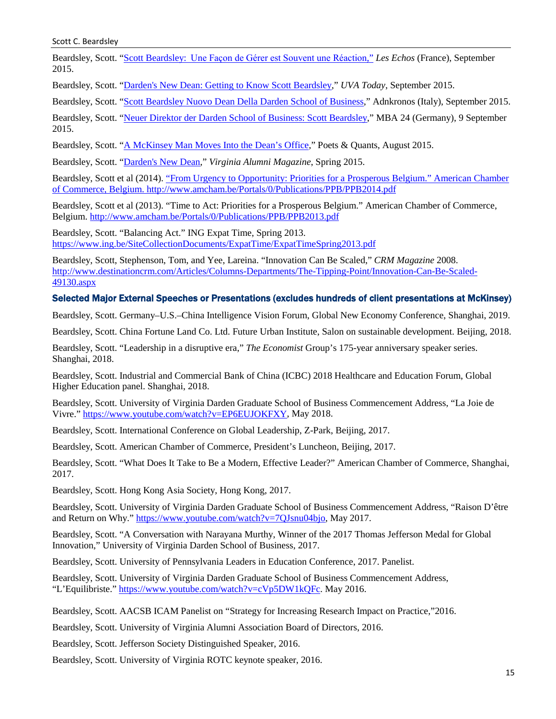Beardsley, Scott. "Scott Beardsley: [Une Façon de Gérer est Souvent une Réaction](http://business.lesechos.fr/directions-generales/metier-et-carriere/profils/021348936305-scott-beardsley-gerer-de-telle-ou-telle-facon-releve-souvent-de-la-pure-reaction-203163.php)," *Les Echos* (France), September 2015.

Beardsley, Scott. ["Darden's New Dean: Getting to Know Scott Beardsley,"](http://www.news.virginia.edu/content/darden-s-new-dean-getting-know-scott-beardsley) *UVA Today*, September 2015.

Beardsley, Scott. ["Scott Beardsley Nuovo Dean Della Darden School of Business,](http://www.adnkronos.com/lavoro/professionisti/2015/09/10/scott-beardsley-nuovo-dean-della-darden-school-business_xDyRdOwtfqE7jee86hwqGM.html)" Adnkronos (Italy), September 2015.

Beardsley, Scott. ["Neuer Direktor der Darden School of Business: Scott Beardsley,](http://www.mba24.com/pressemitteilungen/neuer-direktor-der-darden-school-of-business-scott-beardsley.html)" MBA 24 (Germany), 9 September 2015.

Beardsley, Scott. ["A McKinsey Man Moves Into the Dean's Office,](http://poetsandquants.com/2015/08/29/a-mckinsey-man-moves-into-the-deans-office/)" Poets & Quants, August 2015.

Beardsley, Scott. ["Darden's New Dean,](http://uvamagazine.org/articles/news_briefs_25)" *Virginia Alumni Magazine*, Spring 2015.

Beardsley, Scott et al (2014). "From Urgency to Opportunity: Priorities for a Prosperous Belgium." American Chamber of Commerce, Belgium[. http://www.amcham.be/Portals/0/Publications/PPB/PPB2014.pdf](http://www.amcham.be/Portals/0/Publications/PPB/PPB2014.pdf)

Beardsley, Scott et al (2013). "Time to Act: Priorities for a Prosperous Belgium." American Chamber of Commerce, Belgium.<http://www.amcham.be/Portals/0/Publications/PPB/PPB2013.pdf>

Beardsley, Scott. "Balancing Act." ING Expat Time, Spring 2013. <https://www.ing.be/SiteCollectionDocuments/ExpatTime/ExpatTimeSpring2013.pdf>

Beardsley, Scott, Stephenson, Tom, and Yee, Lareina. "Innovation Can Be Scaled," *CRM Magazine* 2008. [http://www.destinationcrm.com/Articles/Columns-Departments/The-Tipping-Point/Innovation-Can-Be-Scaled-](http://www.destinationcrm.com/Articles/Columns-Departments/The-Tipping-Point/Innovation-Can-Be-Scaled-49130.aspx)[49130.aspx](http://www.destinationcrm.com/Articles/Columns-Departments/The-Tipping-Point/Innovation-Can-Be-Scaled-49130.aspx)

#### Selected Major External Speeches or Presentations (excludes hundreds of client presentations at McKinsey)

Beardsley, Scott. Germany–U.S.–China Intelligence Vision Forum, Global New Economy Conference, Shanghai, 2019.

Beardsley, Scott. China Fortune Land Co. Ltd. Future Urban Institute, Salon on sustainable development. Beijing, 2018.

Beardsley, Scott. "Leadership in a disruptive era," *The Economist* Group's 175-year anniversary speaker series. Shanghai, 2018.

Beardsley, Scott. Industrial and Commercial Bank of China (ICBC) 2018 Healthcare and Education Forum, Global Higher Education panel. Shanghai, 2018.

Beardsley, Scott. University of Virginia Darden Graduate School of Business Commencement Address, "La Joie de Vivre." [https://www.youtube.com/watch?v=EP6EUJOKFXY,](https://www.youtube.com/watch?v=EP6EUJOKFXY) May 2018.

Beardsley, Scott. International Conference on Global Leadership, Z-Park, Beijing, 2017.

Beardsley, Scott. American Chamber of Commerce, President's Luncheon, Beijing, 2017.

Beardsley, Scott. "What Does It Take to Be a Modern, Effective Leader?" American Chamber of Commerce, Shanghai, 2017.

Beardsley, Scott. Hong Kong Asia Society, Hong Kong, 2017.

Beardsley, Scott. University of Virginia Darden Graduate School of Business Commencement Address, "Raison D'être and Return on Why." [https://www.youtube.com/watch?v=7QJsnu04bjo,](https://www.youtube.com/watch?v=7QJsnu04bjo) May 2017.

Beardsley, Scott. "A Conversation with Narayana Murthy, Winner of the 2017 Thomas Jefferson Medal for Global Innovation," University of Virginia Darden School of Business, 2017.

Beardsley, Scott. University of Pennsylvania Leaders in Education Conference, 2017. Panelist.

Beardsley, Scott. University of Virginia Darden Graduate School of Business Commencement Address, "L'Equilibriste." [https://www.youtube.com/watch?v=cVp5DW1kQFc.](https://www.youtube.com/watch?v=cVp5DW1kQFc) May 2016.

Beardsley, Scott. AACSB ICAM Panelist on "Strategy for Increasing Research Impact on Practice,"2016.

Beardsley, Scott. University of Virginia Alumni Association Board of Directors, 2016.

Beardsley, Scott. Jefferson Society Distinguished Speaker, 2016.

Beardsley, Scott. University of Virginia ROTC keynote speaker, 2016.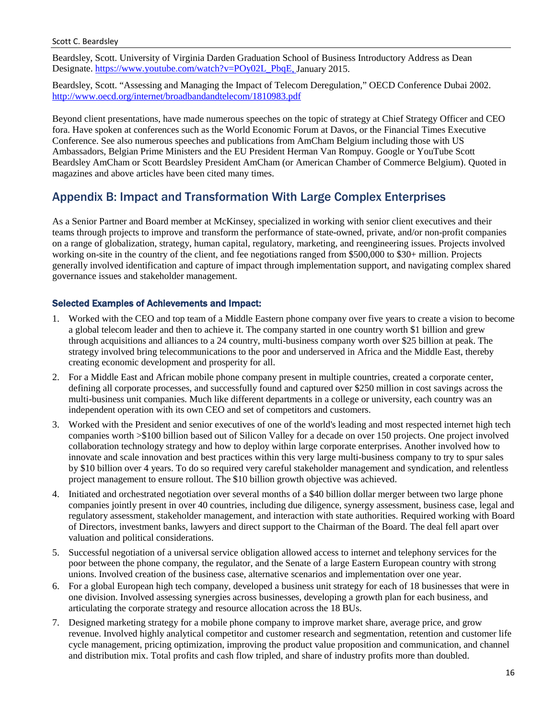#### Scott C. Beardsley

Beardsley, Scott. University of Virginia Darden Graduation School of Business Introductory Address as Dean Designate. [https://www.youtube.com/watch?v=POy02L\\_PbqE,](https://www.youtube.com/watch?v=POy02L_PbqE) January 2015.

Beardsley, Scott. "Assessing and Managing the Impact of Telecom Deregulation," OECD Conference Dubai 2002. <http://www.oecd.org/internet/broadbandandtelecom/1810983.pdf>

Beyond client presentations, have made numerous speeches on the topic of strategy at Chief Strategy Officer and CEO fora. Have spoken at conferences such as the World Economic Forum at Davos, or the Financial Times Executive Conference. See also numerous speeches and publications from AmCham Belgium including those with US Ambassadors, Belgian Prime Ministers and the EU President Herman Van Rompuy. Google or YouTube Scott Beardsley AmCham or Scott Beardsley President AmCham (or American Chamber of Commerce Belgium). Quoted in magazines and above articles have been cited many times.

## Appendix B: Impact and Transformation With Large Complex Enterprises

As a Senior Partner and Board member at McKinsey, specialized in working with senior client executives and their teams through projects to improve and transform the performance of state-owned, private, and/or non-profit companies on a range of globalization, strategy, human capital, regulatory, marketing, and reengineering issues. Projects involved working on-site in the country of the client, and fee negotiations ranged from \$500,000 to \$30+ million. Projects generally involved identification and capture of impact through implementation support, and navigating complex shared governance issues and stakeholder management.

### Selected Examples of Achievements and Impact:

- 1. Worked with the CEO and top team of a Middle Eastern phone company over five years to create a vision to become a global telecom leader and then to achieve it. The company started in one country worth \$1 billion and grew through acquisitions and alliances to a 24 country, multi-business company worth over \$25 billion at peak. The strategy involved bring telecommunications to the poor and underserved in Africa and the Middle East, thereby creating economic development and prosperity for all.
- 2. For a Middle East and African mobile phone company present in multiple countries, created a corporate center, defining all corporate processes, and successfully found and captured over \$250 million in cost savings across the multi-business unit companies. Much like different departments in a college or university, each country was an independent operation with its own CEO and set of competitors and customers.
- 3. Worked with the President and senior executives of one of the world's leading and most respected internet high tech companies worth >\$100 billion based out of Silicon Valley for a decade on over 150 projects. One project involved collaboration technology strategy and how to deploy within large corporate enterprises. Another involved how to innovate and scale innovation and best practices within this very large multi-business company to try to spur sales by \$10 billion over 4 years. To do so required very careful stakeholder management and syndication, and relentless project management to ensure rollout. The \$10 billion growth objective was achieved.
- 4. Initiated and orchestrated negotiation over several months of a \$40 billion dollar merger between two large phone companies jointly present in over 40 countries, including due diligence, synergy assessment, business case, legal and regulatory assessment, stakeholder management, and interaction with state authorities. Required working with Board of Directors, investment banks, lawyers and direct support to the Chairman of the Board. The deal fell apart over valuation and political considerations.
- 5. Successful negotiation of a universal service obligation allowed access to internet and telephony services for the poor between the phone company, the regulator, and the Senate of a large Eastern European country with strong unions. Involved creation of the business case, alternative scenarios and implementation over one year.
- 6. For a global European high tech company, developed a business unit strategy for each of 18 businesses that were in one division. Involved assessing synergies across businesses, developing a growth plan for each business, and articulating the corporate strategy and resource allocation across the 18 BUs.
- 7. Designed marketing strategy for a mobile phone company to improve market share, average price, and grow revenue. Involved highly analytical competitor and customer research and segmentation, retention and customer life cycle management, pricing optimization, improving the product value proposition and communication, and channel and distribution mix. Total profits and cash flow tripled, and share of industry profits more than doubled.